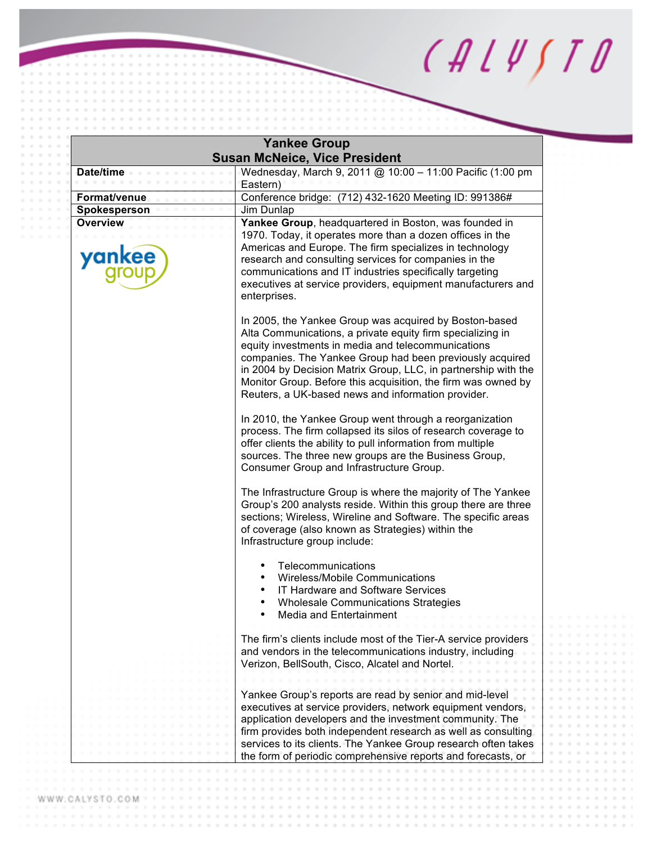| <b>Yankee Group</b>       |                                                                                                                                                                                                                                                                                                                                                                                                                                 |  |
|---------------------------|---------------------------------------------------------------------------------------------------------------------------------------------------------------------------------------------------------------------------------------------------------------------------------------------------------------------------------------------------------------------------------------------------------------------------------|--|
|                           | <b>Susan McNeice, Vice President</b>                                                                                                                                                                                                                                                                                                                                                                                            |  |
| Date/time                 | Wednesday, March 9, 2011 @ 10:00 - 11:00 Pacific (1:00 pm<br>Eastern)                                                                                                                                                                                                                                                                                                                                                           |  |
| Format/venue              | Conference bridge: (712) 432-1620 Meeting ID: 991386#                                                                                                                                                                                                                                                                                                                                                                           |  |
| Spokesperson              | Jim Dunlap                                                                                                                                                                                                                                                                                                                                                                                                                      |  |
| <b>Overview</b><br>yankee | Yankee Group, headquartered in Boston, was founded in<br>1970. Today, it operates more than a dozen offices in the<br>Americas and Europe. The firm specializes in technology<br>research and consulting services for companies in the<br>communications and IT industries specifically targeting<br>executives at service providers, equipment manufacturers and<br>enterprises.                                               |  |
|                           | In 2005, the Yankee Group was acquired by Boston-based<br>Alta Communications, a private equity firm specializing in<br>equity investments in media and telecommunications<br>companies. The Yankee Group had been previously acquired<br>in 2004 by Decision Matrix Group, LLC, in partnership with the<br>Monitor Group. Before this acquisition, the firm was owned by<br>Reuters, a UK-based news and information provider. |  |
|                           | In 2010, the Yankee Group went through a reorganization<br>process. The firm collapsed its silos of research coverage to<br>offer clients the ability to pull information from multiple<br>sources. The three new groups are the Business Group,<br>Consumer Group and Infrastructure Group.                                                                                                                                    |  |
|                           | The Infrastructure Group is where the majority of The Yankee<br>Group's 200 analysts reside. Within this group there are three<br>sections; Wireless, Wireline and Software. The specific areas<br>of coverage (also known as Strategies) within the<br>Infrastructure group include:                                                                                                                                           |  |
|                           | Telecommunications<br>Wireless/Mobile Communications<br><b>IT Hardware and Software Services</b><br><b>Wholesale Communications Strategies</b><br>Media and Entertainment                                                                                                                                                                                                                                                       |  |
|                           | The firm's clients include most of the Tier-A service providers<br>and vendors in the telecommunications industry, including<br>Verizon, BellSouth, Cisco, Alcatel and Nortel.                                                                                                                                                                                                                                                  |  |
|                           | Yankee Group's reports are read by senior and mid-level<br>executives at service providers, network equipment vendors,<br>application developers and the investment community. The<br>firm provides both independent research as well as consulting<br>services to its clients. The Yankee Group research often takes<br>the form of periodic comprehensive reports and forecasts, or                                           |  |

 $(HlV)ID$ 

 $\alpha \rightarrow$  $\alpha$  $\alpha \rightarrow$  $\alpha$  $\alpha$  .  $\alpha$  $\alpha \rightarrow$  $\langle \psi \rangle = 1$  $-100 - 100$ 

. . .

 $\label{eq:1.1} \begin{array}{ccccccccccccc} \alpha & \alpha & \alpha & \alpha & \alpha \end{array}$ 

 $\frac{1}{2} \left( \frac{1}{2} \right) \left( \frac{1}{2} \right)$  $\sim$ 

 $\sim$  $\alpha$  $\sim$  $\sim$  $\sim$  $\sim$  $\sim$  $10 - 10$  $\sim$  $\sim$  $\sim$ 

 $\sim$ 

. . . . . . . . . . . . . . .

 $\begin{array}{cccccccccccccc} 1 & 1 & 1 & 1 & 1 & 1 & 1 & 1 \end{array}$ 

. . . . . . . .

. . . . . . . . . . . .

 $\sim$ 

. . . . . . . . . . . . . . . . . . . .

 $\sim$  $\alpha$  $\alpha$ 

> $\sim$  $\sim$

. . . . . . . . . . . .

 $10 - 10$  $\sim$ 

 $-100 - 100$  $-1$   $-1$   $-1$ . . . .  $\label{eq:1.1} \begin{array}{cccccccccc} \mathbb{R} & \mathbb{R} & \mathbb{R} & \mathbb{R} & \mathbb{R} \end{array}$  $1.1.1.1$  . . . . . . . .

 $\sim$ 

 $\alpha$  $\sim$ 

 $\sim$ 

. . . . . . . . . . . . . . . . . . . . . .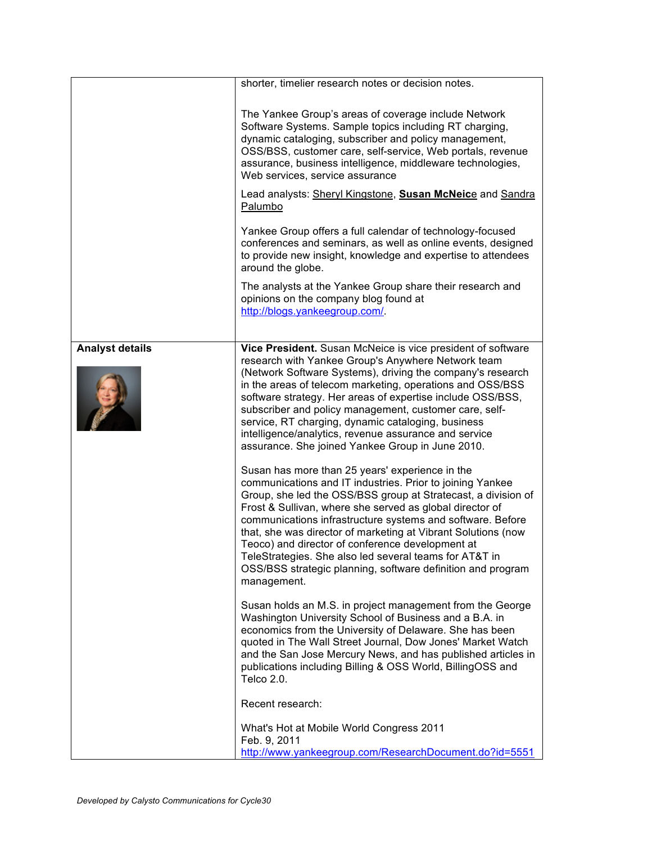|                        | shorter, timelier research notes or decision notes.                                                                                                                                                                                                                                                                                                                                                                                                                                                                                                                  |
|------------------------|----------------------------------------------------------------------------------------------------------------------------------------------------------------------------------------------------------------------------------------------------------------------------------------------------------------------------------------------------------------------------------------------------------------------------------------------------------------------------------------------------------------------------------------------------------------------|
|                        | The Yankee Group's areas of coverage include Network<br>Software Systems. Sample topics including RT charging,<br>dynamic cataloging, subscriber and policy management,<br>OSS/BSS, customer care, self-service, Web portals, revenue<br>assurance, business intelligence, middleware technologies,<br>Web services, service assurance                                                                                                                                                                                                                               |
|                        | Lead analysts: Sheryl Kingstone, Susan McNeice and Sandra<br>Palumbo                                                                                                                                                                                                                                                                                                                                                                                                                                                                                                 |
|                        | Yankee Group offers a full calendar of technology-focused<br>conferences and seminars, as well as online events, designed<br>to provide new insight, knowledge and expertise to attendees<br>around the globe.                                                                                                                                                                                                                                                                                                                                                       |
|                        | The analysts at the Yankee Group share their research and<br>opinions on the company blog found at<br>http://blogs.yankeegroup.com/.                                                                                                                                                                                                                                                                                                                                                                                                                                 |
| <b>Analyst details</b> | Vice President. Susan McNeice is vice president of software<br>research with Yankee Group's Anywhere Network team<br>(Network Software Systems), driving the company's research<br>in the areas of telecom marketing, operations and OSS/BSS<br>software strategy. Her areas of expertise include OSS/BSS,<br>subscriber and policy management, customer care, self-<br>service, RT charging, dynamic cataloging, business<br>intelligence/analytics, revenue assurance and service<br>assurance. She joined Yankee Group in June 2010.                              |
|                        | Susan has more than 25 years' experience in the<br>communications and IT industries. Prior to joining Yankee<br>Group, she led the OSS/BSS group at Stratecast, a division of<br>Frost & Sullivan, where she served as global director of<br>communications infrastructure systems and software. Before<br>that, she was director of marketing at Vibrant Solutions (now<br>Teoco) and director of conference development at<br>TeleStrategies. She also led several teams for AT&T in<br>OSS/BSS strategic planning, software definition and program<br>management. |
|                        | Susan holds an M.S. in project management from the George<br>Washington University School of Business and a B.A. in<br>economics from the University of Delaware. She has been<br>quoted in The Wall Street Journal, Dow Jones' Market Watch<br>and the San Jose Mercury News, and has published articles in<br>publications including Billing & OSS World, BillingOSS and<br>Telco 2.0.                                                                                                                                                                             |
|                        | Recent research:                                                                                                                                                                                                                                                                                                                                                                                                                                                                                                                                                     |
|                        | What's Hot at Mobile World Congress 2011<br>Feb. 9, 2011<br>http://www.yankeegroup.com/ResearchDocument.do?id=5551                                                                                                                                                                                                                                                                                                                                                                                                                                                   |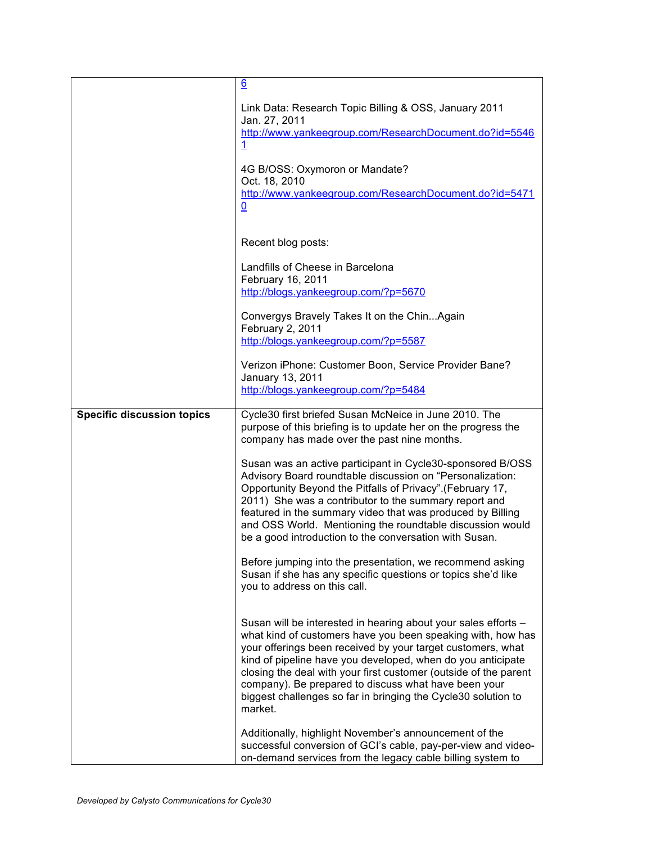|                                   | $\underline{6}$                                                                                                                                                                                                                                                                                                                                                                                                                                                     |
|-----------------------------------|---------------------------------------------------------------------------------------------------------------------------------------------------------------------------------------------------------------------------------------------------------------------------------------------------------------------------------------------------------------------------------------------------------------------------------------------------------------------|
|                                   | Link Data: Research Topic Billing & OSS, January 2011<br>Jan. 27, 2011<br>http://www.yankeegroup.com/ResearchDocument.do?id=5546<br><u>1</u>                                                                                                                                                                                                                                                                                                                        |
|                                   | 4G B/OSS: Oxymoron or Mandate?<br>Oct. 18, 2010<br>http://www.yankeegroup.com/ResearchDocument.do?id=5471<br>$\overline{0}$                                                                                                                                                                                                                                                                                                                                         |
|                                   | Recent blog posts:                                                                                                                                                                                                                                                                                                                                                                                                                                                  |
|                                   | Landfills of Cheese in Barcelona<br>February 16, 2011<br>http://blogs.yankeegroup.com/?p=5670                                                                                                                                                                                                                                                                                                                                                                       |
|                                   | Convergys Bravely Takes It on the ChinAgain<br>February 2, 2011<br>http://blogs.yankeegroup.com/?p=5587                                                                                                                                                                                                                                                                                                                                                             |
|                                   | Verizon iPhone: Customer Boon, Service Provider Bane?<br>January 13, 2011<br>http://blogs.yankeegroup.com/?p=5484                                                                                                                                                                                                                                                                                                                                                   |
| <b>Specific discussion topics</b> | Cycle30 first briefed Susan McNeice in June 2010. The<br>purpose of this briefing is to update her on the progress the<br>company has made over the past nine months.                                                                                                                                                                                                                                                                                               |
|                                   | Susan was an active participant in Cycle30-sponsored B/OSS<br>Advisory Board roundtable discussion on "Personalization:<br>Opportunity Beyond the Pitfalls of Privacy". (February 17,<br>2011) She was a contributor to the summary report and<br>featured in the summary video that was produced by Billing<br>and OSS World. Mentioning the roundtable discussion would<br>be a good introduction to the conversation with Susan.                                 |
|                                   | Before jumping into the presentation, we recommend asking<br>Susan if she has any specific questions or topics she'd like<br>you to address on this call.                                                                                                                                                                                                                                                                                                           |
|                                   | Susan will be interested in hearing about your sales efforts -<br>what kind of customers have you been speaking with, how has<br>your offerings been received by your target customers, what<br>kind of pipeline have you developed, when do you anticipate<br>closing the deal with your first customer (outside of the parent<br>company). Be prepared to discuss what have been your<br>biggest challenges so far in bringing the Cycle30 solution to<br>market. |
|                                   | Additionally, highlight November's announcement of the<br>successful conversion of GCI's cable, pay-per-view and video-<br>on-demand services from the legacy cable billing system to                                                                                                                                                                                                                                                                               |